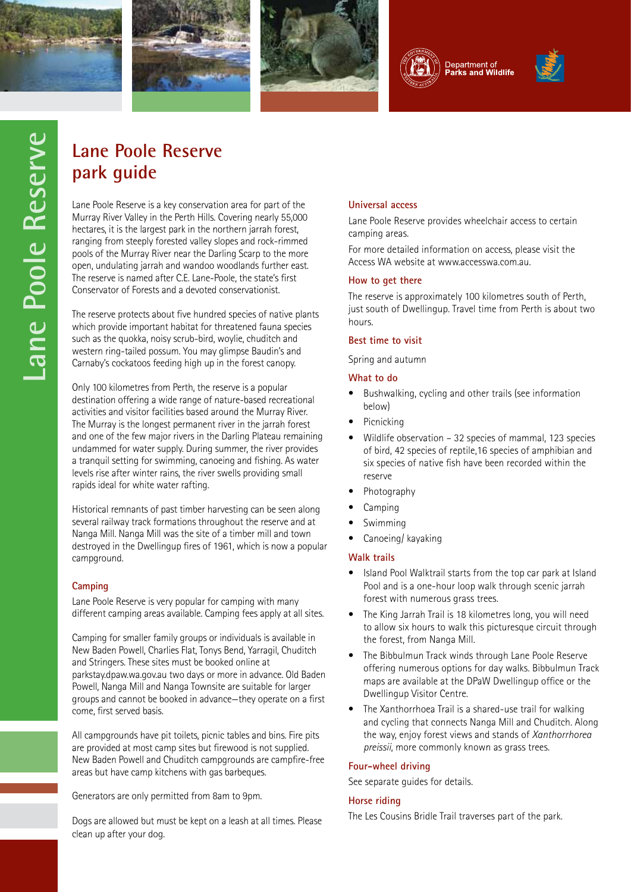









# **park guide**

**Lane Poole Reserve**<br> **Dark guide**<br>
Lane Poole Reserve is a key conservatio<br>
Murray River Valley in the Perth Hills. C<br>
hectares, it is the largest park in the no<br>
ranging from steeply forested valley slo<br>
pools of the Mur Lane Poole Reserve is a key conservation area for part of the Murray River Valley in the Perth Hills. Covering nearly 55,000 hectares, it is the largest park in the northern jarrah forest, ranging from steeply forested valley slopes and rock-rimmed pools of the Murray River near the Darling Scarp to the more open, undulating jarrah and wandoo woodlands further east. The reserve is named after C.E. Lane-Poole, the state's first Conservator of Forests and a devoted conservationist.

The reserve protects about five hundred species of native plants which provide important habitat for threatened fauna species such as the quokka, noisy scrub-bird, woylie, chuditch and western ring-tailed possum. You may glimpse Baudin's and Carnaby's cockatoos feeding high up in the forest canopy.

Only 100 kilometres from Perth, the reserve is a popular destination offering a wide range of nature-based recreational activities and visitor facilities based around the Murray River. The Murray is the longest permanent river in the jarrah forest and one of the few major rivers in the Darling Plateau remaining undammed for water supply. During summer, the river provides a tranquil setting for swimming, canoeing and fishing. As water levels rise after winter rains, the river swells providing small rapids ideal for white water rafting.

Historical remnants of past timber harvesting can be seen along several railway track formations throughout the reserve and at Nanga Mill. Nanga Mill was the site of a timber mill and town destroyed in the Dwellingup fires of 1961, which is now a popular campground.

# **Camping**

Lane Poole Reserve is very popular for camping with many different camping areas available. Camping fees apply at all sites.

Camping for smaller family groups or individuals is available in New Baden Powell, Charlies Flat, Tonys Bend, Yarragil, Chuditch and Stringers. These sites must be booked online at parkstay.dpaw.wa.gov.au two days or more in advance. Old Baden Powell, Nanga Mill and Nanga Townsite are suitable for larger groups and cannot be booked in advance—they operate on a first come, first served basis.

All campgrounds have pit toilets, picnic tables and bins. Fire pits are provided at most camp sites but firewood is not supplied. New Baden Powell and Chuditch campgrounds are campfire-free areas but have camp kitchens with gas barbeques.

Generators are only permitted from 8am to 9pm.

Dogs are allowed but must be kept on a leash at all times. Please clean up after your dog.

# **Universal access**

Lane Poole Reserve provides wheelchair access to certain camping areas.

For more detailed information on access, please visit the Access WA website at www.accesswa.com.au.

# **How to get there**

The reserve is approximately 100 kilometres south of Perth, just south of Dwellingup. Travel time from Perth is about two hours.

# **Best time to visit**

Spring and autumn

# **What to do**

- • Bushwalking, cycling and other trails (see information below)
- Picnicking
- Wildlife observation 32 species of mammal, 123 species of bird, 42 species of reptile,16 species of amphibian and six species of native fish have been recorded within the reserve
- Photography
- **Camping**
- **Swimming**
- Canoeing/ kayaking

# **Walk trails**

- Island Pool Walktrail starts from the top car park at Island Pool and is a one-hour loop walk through scenic jarrah forest with numerous grass trees.
- The King Jarrah Trail is 18 kilometres long, you will need to allow six hours to walk this picturesque circuit through the forest, from Nanga Mill.
- The Bibbulmun Track winds through Lane Poole Reserve offering numerous options for day walks. Bibbulmun Track maps are available at the DPaW Dwellingup office or the Dwellingup Visitor Centre.
- The Xanthorrhoea Trail is a shared-use trail for walking and cycling that connects Nanga Mill and Chuditch. Along the way, enjoy forest views and stands of *Xanthorrhorea preissii*, more commonly known as grass trees.

# **Four-wheel driving**

See separate guides for details.

# **Horse riding**

The Les Cousins Bridle Trail traverses part of the park.